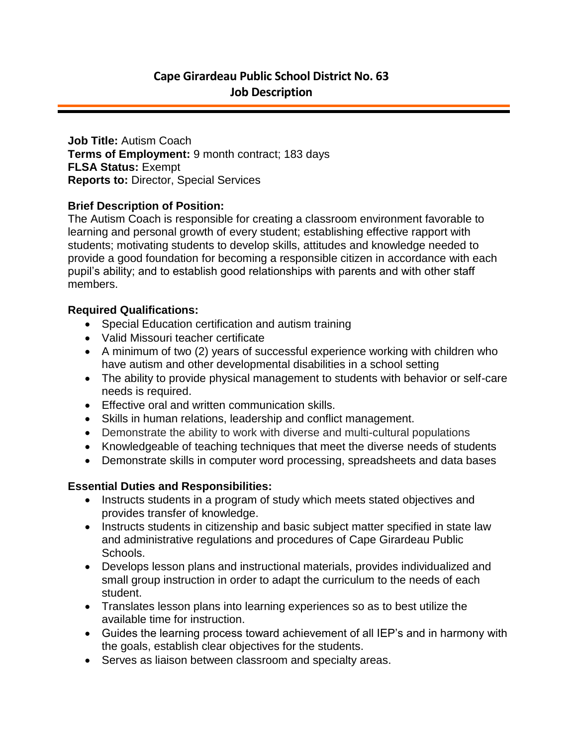**Job Title:** Autism Coach **Terms of Employment:** 9 month contract; 183 days **FLSA Status:** Exempt **Reports to:** Director, Special Services

### **Brief Description of Position:**

The Autism Coach is responsible for creating a classroom environment favorable to learning and personal growth of every student; establishing effective rapport with students; motivating students to develop skills, attitudes and knowledge needed to provide a good foundation for becoming a responsible citizen in accordance with each pupil's ability; and to establish good relationships with parents and with other staff members.

### **Required Qualifications:**

- Special Education certification and autism training
- Valid Missouri teacher certificate
- A minimum of two (2) years of successful experience working with children who have autism and other developmental disabilities in a school setting
- The ability to provide physical management to students with behavior or self-care needs is required.
- Effective oral and written communication skills.
- Skills in human relations, leadership and conflict management.
- Demonstrate the ability to work with diverse and multi-cultural populations
- Knowledgeable of teaching techniques that meet the diverse needs of students
- Demonstrate skills in computer word processing, spreadsheets and data bases

## **Essential Duties and Responsibilities:**

- Instructs students in a program of study which meets stated objectives and provides transfer of knowledge.
- Instructs students in citizenship and basic subject matter specified in state law and administrative regulations and procedures of Cape Girardeau Public Schools.
- Develops lesson plans and instructional materials, provides individualized and small group instruction in order to adapt the curriculum to the needs of each student.
- Translates lesson plans into learning experiences so as to best utilize the available time for instruction.
- Guides the learning process toward achievement of all IEP's and in harmony with the goals, establish clear objectives for the students.
- Serves as liaison between classroom and specialty areas.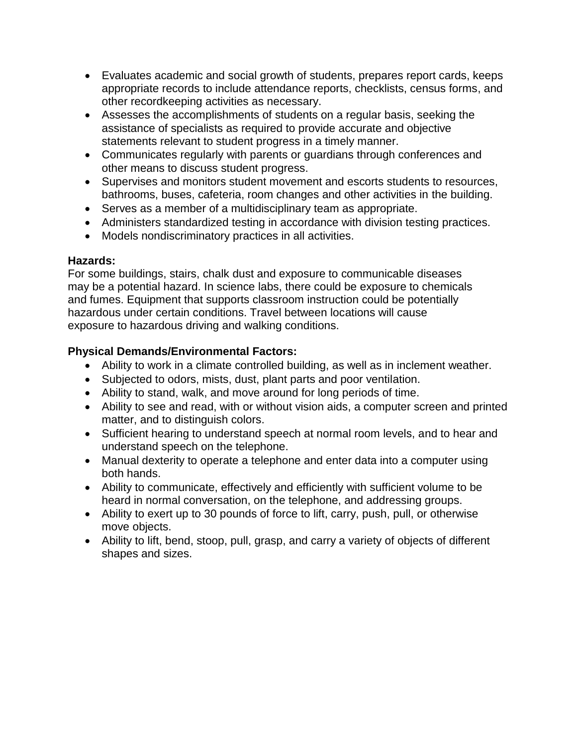- Evaluates academic and social growth of students, prepares report cards, keeps appropriate records to include attendance reports, checklists, census forms, and other recordkeeping activities as necessary.
- Assesses the accomplishments of students on a regular basis, seeking the assistance of specialists as required to provide accurate and objective statements relevant to student progress in a timely manner.
- Communicates regularly with parents or guardians through conferences and other means to discuss student progress.
- Supervises and monitors student movement and escorts students to resources, bathrooms, buses, cafeteria, room changes and other activities in the building.
- Serves as a member of a multidisciplinary team as appropriate.
- Administers standardized testing in accordance with division testing practices.
- Models nondiscriminatory practices in all activities.

## **Hazards:**

For some buildings, stairs, chalk dust and exposure to communicable diseases may be a potential hazard. In science labs, there could be exposure to chemicals and fumes. Equipment that supports classroom instruction could be potentially hazardous under certain conditions. Travel between locations will cause exposure to hazardous driving and walking conditions.

# **Physical Demands/Environmental Factors:**

- Ability to work in a climate controlled building, as well as in inclement weather.
- Subjected to odors, mists, dust, plant parts and poor ventilation.
- Ability to stand, walk, and move around for long periods of time.
- Ability to see and read, with or without vision aids, a computer screen and printed matter, and to distinguish colors.
- Sufficient hearing to understand speech at normal room levels, and to hear and understand speech on the telephone.
- Manual dexterity to operate a telephone and enter data into a computer using both hands.
- Ability to communicate, effectively and efficiently with sufficient volume to be heard in normal conversation, on the telephone, and addressing groups.
- Ability to exert up to 30 pounds of force to lift, carry, push, pull, or otherwise move objects.
- Ability to lift, bend, stoop, pull, grasp, and carry a variety of objects of different shapes and sizes.